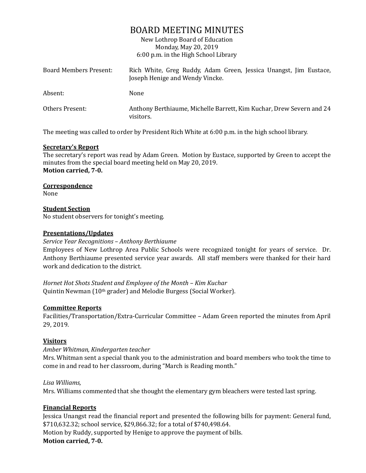# BOARD MEETING MINUTES

New Lothrop Board of Education Monday, May 20, 2019 6:00 p.m. in the High School Library

| <b>Board Members Present:</b> | Rich White, Greg Ruddy, Adam Green, Jessica Unangst, Jim Eustace,<br>Joseph Henige and Wendy Vincke. |
|-------------------------------|------------------------------------------------------------------------------------------------------|
| Absent:                       | None                                                                                                 |
| Others Present:               | Anthony Berthiaume, Michelle Barrett, Kim Kuchar, Drew Severn and 24<br>visitors.                    |

The meeting was called to order by President Rich White at 6:00 p.m. in the high school library.

#### **Secretary's Report**

The secretary's report was read by Adam Green. Motion by Eustace, supported by Green to accept the minutes from the special board meeting held on May 20, 2019. **Motion carried, 7-0.**

#### **Correspondence**

None

#### **Student Section**

No student observers for tonight's meeting.

## **Presentations/Updates**

#### *Service Year Recognitions – Anthony Berthiaume*

Employees of New Lothrop Area Public Schools were recognized tonight for years of service. Dr. Anthony Berthiaume presented service year awards. All staff members were thanked for their hard work and dedication to the district.

*Hornet Hot Shots Student and Employee of the Month – Kim Kuchar* Quintin Newman (10th grader) and Melodie Burgess (Social Worker).

#### **Committee Reports**

Facilities/Transportation/Extra-Curricular Committee – Adam Green reported the minutes from April 29, 2019.

## **Visitors**

## *Amber Whitman, Kindergarten teacher*

Mrs. Whitman sent a special thank you to the administration and board members who took the time to come in and read to her classroom, during "March is Reading month."

## *Lisa Williams,*

Mrs. Williams commented that she thought the elementary gym bleachers were tested last spring.

## **Financial Reports**

Jessica Unangst read the financial report and presented the following bills for payment: General fund, \$710,632.32; school service, \$29,866.32; for a total of \$740,498.64. Motion by Ruddy, supported by Henige to approve the payment of bills.

**Motion carried, 7-0.**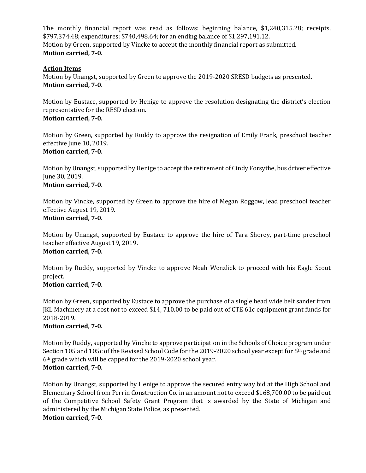The monthly financial report was read as follows: beginning balance, \$1,240,315.28; receipts, \$797,374.48; expenditures: \$740,498.64; for an ending balance of \$1,297,191.12. Motion by Green, supported by Vincke to accept the monthly financial report as submitted. **Motion carried, 7-0.**

## **Action Items**

Motion by Unangst, supported by Green to approve the 2019-2020 SRESD budgets as presented. **Motion carried, 7-0.** 

Motion by Eustace, supported by Henige to approve the resolution designating the district's election representative for the RESD election. **Motion carried, 7-0.**

Motion by Green, supported by Ruddy to approve the resignation of Emily Frank, preschool teacher effective June 10, 2019. **Motion carried, 7-0.**

Motion by Unangst, supported by Henige to accept the retirement of Cindy Forsythe, bus driver effective June 30, 2019.

## **Motion carried, 7-0.**

Motion by Vincke, supported by Green to approve the hire of Megan Roggow, lead preschool teacher effective August 19, 2019.

## **Motion carried, 7-0.**

Motion by Unangst, supported by Eustace to approve the hire of Tara Shorey, part-time preschool teacher effective August 19, 2019. **Motion carried, 7-0.**

Motion by Ruddy, supported by Vincke to approve Noah Wenzlick to proceed with his Eagle Scout project.

## **Motion carried, 7-0.**

Motion by Green, supported by Eustace to approve the purchase of a single head wide belt sander from JKL Machinery at a cost not to exceed \$14, 710.00 to be paid out of CTE 61c equipment grant funds for 2018-2019.

## **Motion carried, 7-0.**

Motion by Ruddy, supported by Vincke to approve participation in the Schools of Choice program under Section 105 and 105c of the Revised School Code for the 2019-2020 school year except for 5<sup>th</sup> grade and 6th grade which will be capped for the 2019-2020 school year. **Motion carried, 7-0.**

Motion by Unangst, supported by Henige to approve the secured entry way bid at the High School and Elementary School from Perrin Construction Co. in an amount not to exceed \$168,700.00 to be paid out of the Competitive School Safety Grant Program that is awarded by the State of Michigan and administered by the Michigan State Police, as presented. **Motion carried, 7-0.**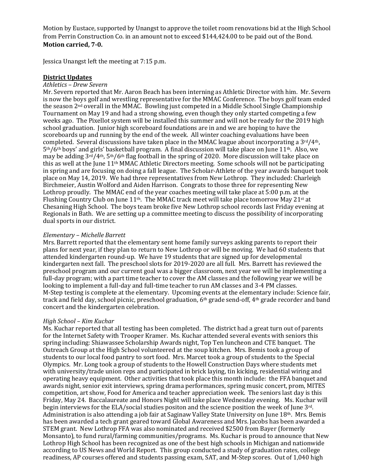Motion by Eustace, supported by Unangst to approve the toilet room renovations bid at the High School from Perrin Construction Co. in an amount not to exceed \$144,424.00 to be paid out of the Bond. **Motion carried, 7-0.**

Jessica Unangst left the meeting at 7:15 p.m.

#### **District Updates**

#### *Athletics – Drew Severn*

Mr. Severn reported that Mr. Aaron Beach has been interning as Athletic Director with him. Mr. Severn is now the boys golf and wrestling representative for the MMAC Conference. The boys golf team ended the season 2nd overall in the MMAC. Bowling just competed in a Middle School Single Championship Tournament on May 19 and had a strong showing, even though they only started competing a few weeks ago. The Pixellot system will be installed this summer and will not be ready for the 2019 high school graduation. Junior high scoreboard foundations are in and we are hoping to have the scoreboards up and running by the end of the week. All winter coaching evaluations have been completed. Several discussions have taken place in the MMAC league about incorporating a  $3<sup>rd</sup>/4<sup>th</sup>$ ,  $5<sup>th</sup>/6<sup>th</sup>$  boys' and girls' basketball program. A final discussion will take place on June  $11<sup>th</sup>$ . Also, we may be adding  $3^{rd}/4^{th}$ ,  $5^{th}/6^{th}$  flag football in the spring of 2020. More discussion will take place on this as well at the June  $11<sup>th</sup> MMAC$  Athletic Directors meeting. Some schools will not be participating in spring and are focusing on doing a fall league. The Scholar-Athlete of the year awards banquet took place on May 14, 2019. We had three representatives from New Lothrop. They included: Charleigh Birchmeier, Austin Wolford and Aiden Harrison. Congrats to those three for representing New Lothrop proudly. The MMAC end of the year coaches meeting will take place at 5:00 p.m. at the Flushing Country Club on June 11<sup>th</sup>. The MMAC track meet will take place tomorrow May 21<sup>st</sup> at Chesaning High School. The boys team broke five New Lothrop school records last Friday evening at Regionals in Bath. We are setting up a committee meeting to discuss the possibility of incorporating dual sports in our district.

#### *Elementary – Michelle Barrett*

Mrs. Barrett reported that the elementary sent home family surveys asking parents to report their plans for next year, if they plan to return to New Lothrop or will be moving. We had 60 students that attended kindergarten round-up. We have 19 students that are signed up for developmental kindergarten next fall. The preschool slots for 2019-2020 are all full. Mrs. Barrett has reviewed the preschool program and our current goal was a bigger classroom, next year we will be implementing a full-day program; with a part time teacher to cover the AM classes and the following year we will be looking to implement a full-day and full-time teacher to run AM classes and 3-4 PM classes. M-Step testing is complete at the elementary. Upcoming events at the elementary include: Science fair, track and field day, school picnic, preschool graduation, 6th grade send-off, 4th grade recorder and band concert and the kindergarten celebration.

#### *High School – Kim Kuchar*

Ms. Kuchar reported that all testing has been completed. The district had a great turn out of parents for the Internet Safety with Trooper Kramer. Ms. Kuchar attended several events with seniors this spring including: Shiawassee Scholarship Awards night, Top Ten luncheon and CTE banquet. The Outreach Group at the High School volunteered at the soup kitchen. Mrs. Bemis took a group of students to our local food pantry to sort food. Mrs. Marcet took a group of students to the Special Olympics. Mr. Long took a group of students to the Howell Construction Days where students met with university/trade union reps and participated in brick laying, tin kicking, residential wiring and operating heavy equipment. Other activities that took place this month include: the FFA banquet and awards night, senior exit interviews, spring drama performances, spring music concert, prom, MITES competition, art show, Food for America and teacher appreciation week. The seniors last day is this Friday, May 24. Baccalaureate and Honors Night will take place Wednesday evening. Ms. Kuchar will begin interviews for the ELA/social studies positon and the science position the week of June 3rd. Administration is also attending a job fair at Saginaw Valley State University on June 18th. Mrs. Bemis has been awarded a tech grant geared toward Global Awareness and Mrs. Jacobs has been awarded a STEM grant. New Lothrop FFA was also nominated and received \$2500 from Bayer (formerly Monsanto), to fund rural/farming communities/programs. Ms. Kuchar is proud to announce that New Lothrop High School has been recognized as one of the best high schools in Michigan and nationwide according to US News and World Report. This group conducted a study of graduation rates, college readiness, AP courses offered and students passing exam, SAT, and M-Step scores. Out of 1,040 high